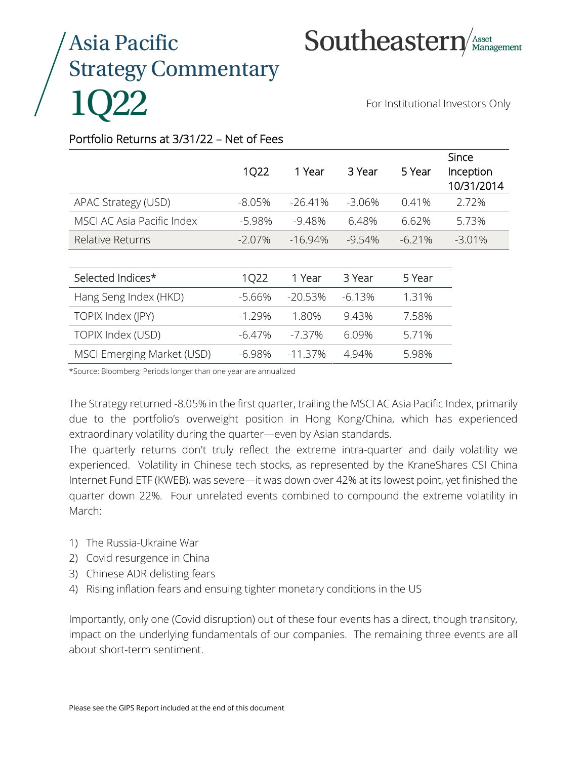# Asia Pacific Strategy Commentary 1Q22

Southeastern

For Institutional Investors Only

## Portfolio Returns at 3/31/22 – Net of Fees

|                            | 1022     | 1 Year     | 3 Year   | 5 Year    | <b>Since</b><br>Inception<br>10/31/2014 |
|----------------------------|----------|------------|----------|-----------|-----------------------------------------|
| APAC Strategy (USD)        | -8.05%   | $-26.41\%$ | -3.06%   | $0.41\%$  | 2.72%                                   |
| MSCI AC Asia Pacific Index | -5.98%   | -948%      | 648%     | 6.62%     | 5.73%                                   |
| Relative Returns           | $-207\%$ | $-1694\%$  | $-954\%$ | $-6.21\%$ | $-3.01\%$                               |

| Selected Indices*          | 1022       | 1 Year     | 3 Year   | 5 Year |
|----------------------------|------------|------------|----------|--------|
| Hang Seng Index (HKD)      | -5.66%     | $-20.53%$  | $-6.13%$ | 1.31%  |
| TOPIX Index (JPY)          | $-1, 29\%$ | 1.80%      | 943%     | 758%   |
| TOPIX Index (USD)          | $-6.47\%$  | -737%      | 6.09%    | 5.71%  |
| MSCI Emerging Market (USD) | -698%      | $-11.37\%$ | 494%     | 598%   |

\*Source: Bloomberg; Periods longer than one year are annualized

The Strategy returned -8.05% in the first quarter, trailing the MSCI AC Asia Pacific Index, primarily due to the portfolio's overweight position in Hong Kong/China, which has experienced extraordinary volatility during the quarter—even by Asian standards.

The quarterly returns don't truly reflect the extreme intra-quarter and daily volatility we experienced. Volatility in Chinese tech stocks, as represented by the KraneShares CSI China Internet Fund ETF (KWEB), was severe—it was down over 42% at its lowest point, yet finished the quarter down 22%. Four unrelated events combined to compound the extreme volatility in March:

- 1) The Russia-Ukraine War
- 2) Covid resurgence in China
- 3) Chinese ADR delisting fears
- 4) Rising inflation fears and ensuing tighter monetary conditions in the US

Importantly, only one (Covid disruption) out of these four events has a direct, though transitory, impact on the underlying fundamentals of our companies. The remaining three events are all about short-term sentiment.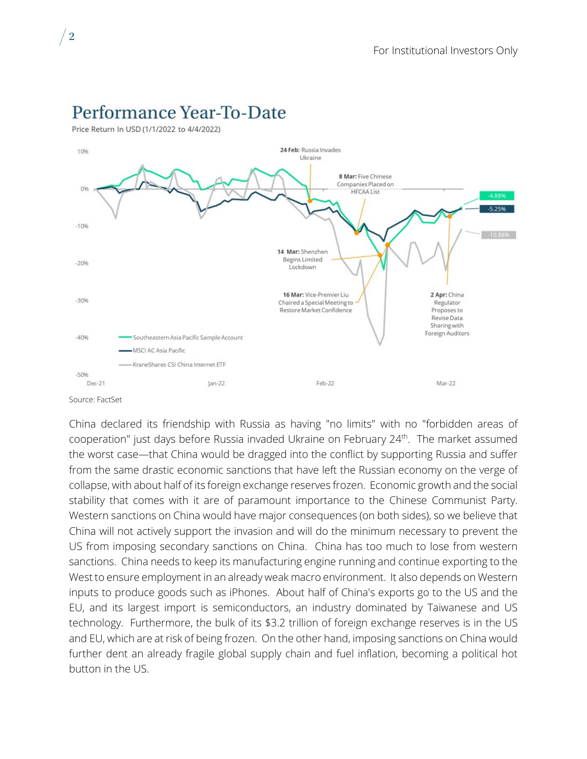

# Performance Year-To-Date

Price Return In USD (1/1/2022 to 4/4/2022)

China declared its friendship with Russia as having "no limits" with no "forbidden areas of cooperation" just days before Russia invaded Ukraine on February 24<sup>th</sup>. The market assumed the worst case—that China would be dragged into the conflict by supporting Russia and suffer from the same drastic economic sanctions that have left the Russian economy on the verge of collapse, with about half of its foreign exchange reserves frozen. Economic growth and the social stability that comes with it are of paramount importance to the Chinese Communist Party. Western sanctions on China would have major consequences (on both sides), so we believe that China will not actively support the invasion and will do the minimum necessary to prevent the US from imposing secondary sanctions on China. China has too much to lose from western sanctions. China needs to keep its manufacturing engine running and continue exporting to the West to ensure employment in an already weak macro environment. It also depends on Western inputs to produce goods such as iPhones. About half of China's exports go to the US and the EU, and its largest import is semiconductors, an industry dominated by Taiwanese and US technology. Furthermore, the bulk of its \$3.2 trillion of foreign exchange reserves is in the US and EU, which are at risk of being frozen. On the other hand, imposing sanctions on China would further dent an already fragile global supply chain and fuel inflation, becoming a political hot button in the US.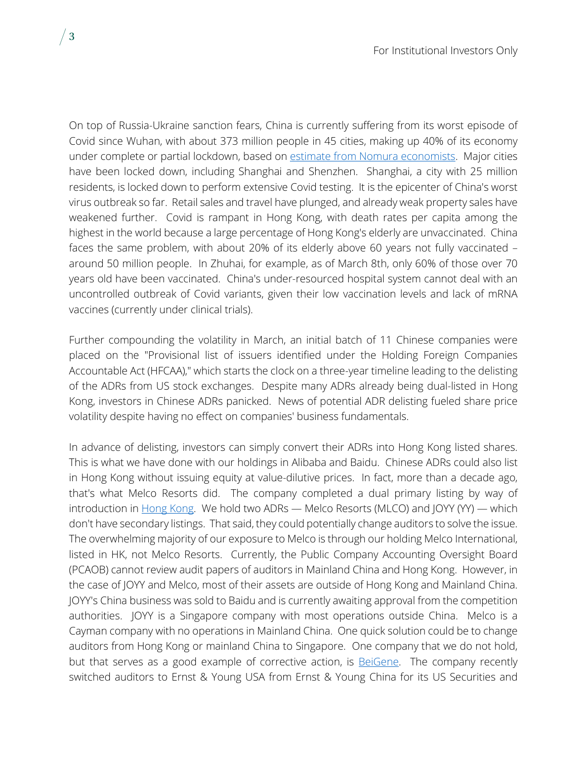On top of Russia-Ukraine sanction fears, China is currently suffering from its worst episode of Covid since Wuhan, with about 373 million people in 45 cities, making up 40% of its economy under complete or partial lockdown, based on [estimate from Nomura economists.](https://www.bloomberg.com/news/articles/2022-04-12/china-s-li-issues-third-warning-on-growth-as-covid-takes-toll?sref=aizPl64O) Major cities have been locked down, including Shanghai and Shenzhen. Shanghai, a city with 25 million residents, is locked down to perform extensive Covid testing. It is the epicenter of China's worst virus outbreak so far. Retail sales and travel have plunged, and already weak property sales have weakened further. Covid is rampant in Hong Kong, with death rates per capita among the highest in the world because a large percentage of Hong Kong's elderly are unvaccinated. China faces the same problem, with about 20% of its elderly above 60 years not fully vaccinated – around 50 million people. In Zhuhai, for example, as of March 8th, only 60% of those over 70 years old have been vaccinated. China's under-resourced hospital system cannot deal with an uncontrolled outbreak of Covid variants, given their low vaccination levels and lack of mRNA vaccines (currently under clinical trials).

Further compounding the volatility in March, an initial batch of 11 Chinese companies were placed on the "Provisional list of issuers identified under the Holding Foreign Companies Accountable Act (HFCAA)," which starts the clock on a three-year timeline leading to the delisting of the ADRs from US stock exchanges. Despite many ADRs already being dual-listed in Hong Kong, investors in Chinese ADRs panicked. News of potential ADR delisting fueled share price volatility despite having no effect on companies' business fundamentals.

In advance of delisting, investors can simply convert their ADRs into Hong Kong listed shares. This is what we have done with our holdings in Alibaba and Baidu. Chinese ADRs could also list in Hong Kong without issuing equity at value-dilutive prices. In fact, more than a decade ago, that's what Melco Resorts did. The company completed a dual primary listing by way of introduction in [Hong Kong.](https://www.sec.gov/Archives/edgar/data/1381640/000119312511325143/d262456dex991.htm) We hold two ADRs - Melco Resorts (MLCO) and JOYY (YY) - which don't have secondary listings. That said, they could potentially change auditors to solve the issue. The overwhelming majority of our exposure to Melco is through our holding Melco International, listed in HK, not Melco Resorts. Currently, the Public Company Accounting Oversight Board (PCAOB) cannot review audit papers of auditors in Mainland China and Hong Kong. However, in the case of JOYY and Melco, most of their assets are outside of Hong Kong and Mainland China. JOYY's China business was sold to Baidu and is currently awaiting approval from the competition authorities. JOYY is a Singapore company with most operations outside China. Melco is a Cayman company with no operations in Mainland China. One quick solution could be to change auditors from Hong Kong or mainland China to Singapore. One company that we do not hold, but that serves as a good example of corrective action, is **BeiGene**. The company recently switched auditors to Ernst & Young USA from Ernst & Young China for its US Securities and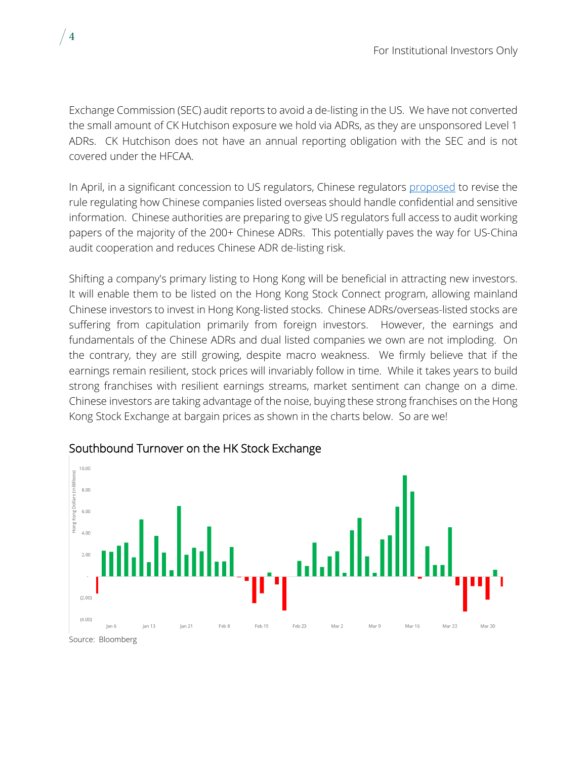Exchange Commission (SEC) audit reports to avoid a de-listing in the US. We have not converted the small amount of CK Hutchison exposure we hold via ADRs, as they are unsponsored Level 1 ADRs. CK Hutchison does not have an annual reporting obligation with the SEC and is not covered under the HFCAA.

In April, in a significant concession to US regulators, Chinese regulators [proposed](http://www.csrc.gov.cn/csrc/c101981/c2274589/content.shtml) to revise the rule regulating how Chinese companies listed overseas should handle confidential and sensitive information. Chinese authorities are preparing to give US regulators full access to audit working papers of the majority of the 200+ Chinese ADRs. This potentially paves the way for US-China audit cooperation and reduces Chinese ADR de-listing risk.

Shifting a company's primary listing to Hong Kong will be beneficial in attracting new investors. It will enable them to be listed on the Hong Kong Stock Connect program, allowing mainland Chinese investors to invest in Hong Kong-listed stocks. Chinese ADRs/overseas-listed stocks are suffering from capitulation primarily from foreign investors. However, the earnings and fundamentals of the Chinese ADRs and dual listed companies we own are not imploding. On the contrary, they are still growing, despite macro weakness. We firmly believe that if the earnings remain resilient, stock prices will invariably follow in time. While it takes years to build strong franchises with resilient earnings streams, market sentiment can change on a dime. Chinese investors are taking advantage of the noise, buying these strong franchises on the Hong Kong Stock Exchange at bargain prices as shown in the charts below. So are we!



## Southbound Turnover on the HK Stock Exchange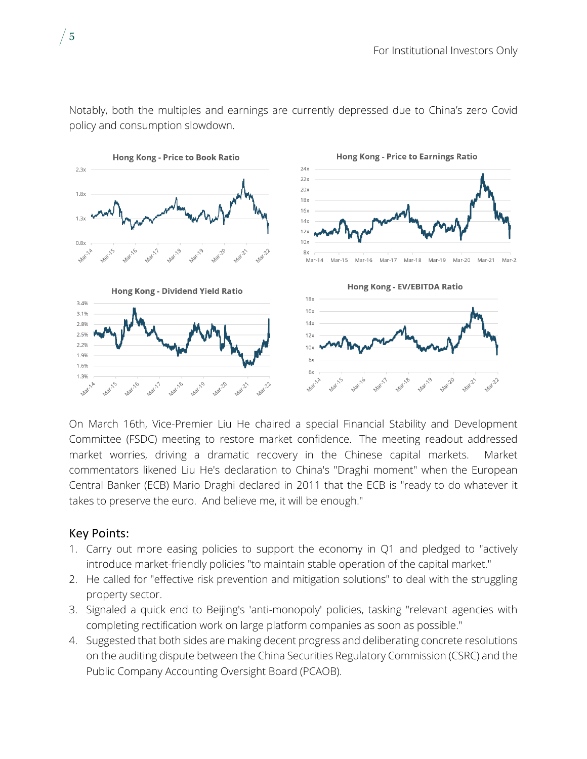

Notably, both the multiples and earnings are currently depressed due to China's zero Covid policy and consumption slowdown.

On March 16th, Vice-Premier Liu He chaired a special Financial Stability and Development Committee (FSDC) meeting to restore market confidence. The meeting readout addressed market worries, driving a dramatic recovery in the Chinese capital markets. Market commentators likened Liu He's declaration to China's "Draghi moment" when the European Central Banker (ECB) Mario Draghi declared in 2011 that the ECB is "ready to do whatever it takes to preserve the euro. And believe me, it will be enough."

## Key Points:

- 1. Carry out more easing policies to support the economy in Q1 and pledged to "actively introduce market-friendly policies "to maintain stable operation of the capital market."
- 2. He called for "effective risk prevention and mitigation solutions" to deal with the struggling property sector.
- 3. Signaled a quick end to Beijing's 'anti-monopoly' policies, tasking "relevant agencies with completing rectification work on large platform companies as soon as possible."
- 4. Suggested that both sides are making decent progress and deliberating concrete resolutions on the auditing dispute between the China Securities Regulatory Commission (CSRC) and the Public Company Accounting Oversight Board (PCAOB).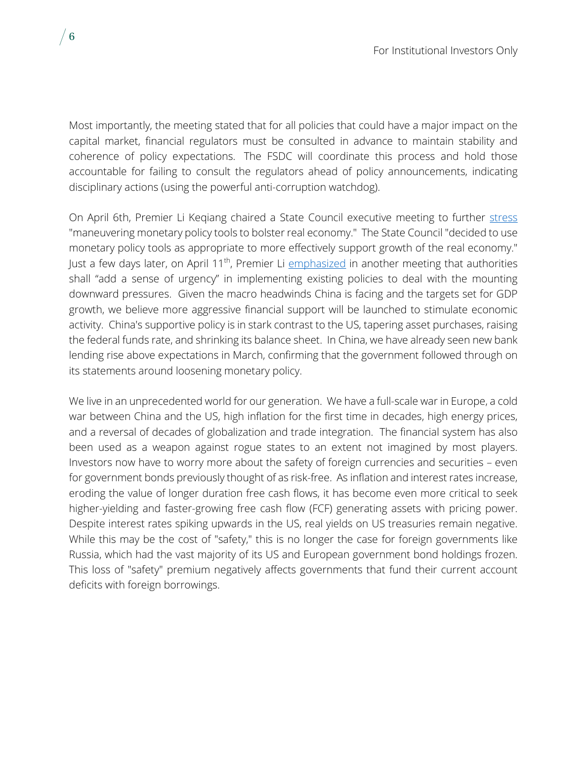Most importantly, the meeting stated that for all policies that could have a major impact on the capital market, financial regulators must be consulted in advance to maintain stability and coherence of policy expectations. The FSDC will coordinate this process and hold those accountable for failing to consult the regulators ahead of policy announcements, indicating disciplinary actions (using the powerful anti-corruption watchdog).

On April 6th, Premier Li Kegiang chaired a State Council executive meeting to further [stress](https://english.www.gov.cn/premier/news/202204/06/content_WS624db740c6d02e5335328d68.html) "maneuvering monetary policy tools to bolster real economy." The State Council "decided to use monetary policy tools as appropriate to more effectively support growth of the real economy." Just a few days later, on April 11<sup>th</sup>, Premier Li [emphasized](https://english.www.gov.cn/premier/news/202204/11/content_WS6254403fc6d02e533532911a.html) in another meeting that authorities shall "add a sense of urgency" in implementing existing policies to deal with the mounting downward pressures. Given the macro headwinds China is facing and the targets set for GDP growth, we believe more aggressive financial support will be launched to stimulate economic activity. China's supportive policy is in stark contrast to the US, tapering asset purchases, raising the federal funds rate, and shrinking its balance sheet. In China, we have already seen new bank lending rise above expectations in March, confirming that the government followed through on its statements around loosening monetary policy.

We live in an unprecedented world for our generation. We have a full-scale war in Europe, a cold war between China and the US, high inflation for the first time in decades, high energy prices, and a reversal of decades of globalization and trade integration. The financial system has also been used as a weapon against rogue states to an extent not imagined by most players. Investors now have to worry more about the safety of foreign currencies and securities – even for government bonds previously thought of as risk-free. As inflation and interest rates increase, eroding the value of longer duration free cash flows, it has become even more critical to seek higher-yielding and faster-growing free cash flow (FCF) generating assets with pricing power. Despite interest rates spiking upwards in the US, real yields on US treasuries remain negative. While this may be the cost of "safety," this is no longer the case for foreign governments like Russia, which had the vast majority of its US and European government bond holdings frozen. This loss of "safety" premium negatively affects governments that fund their current account deficits with foreign borrowings.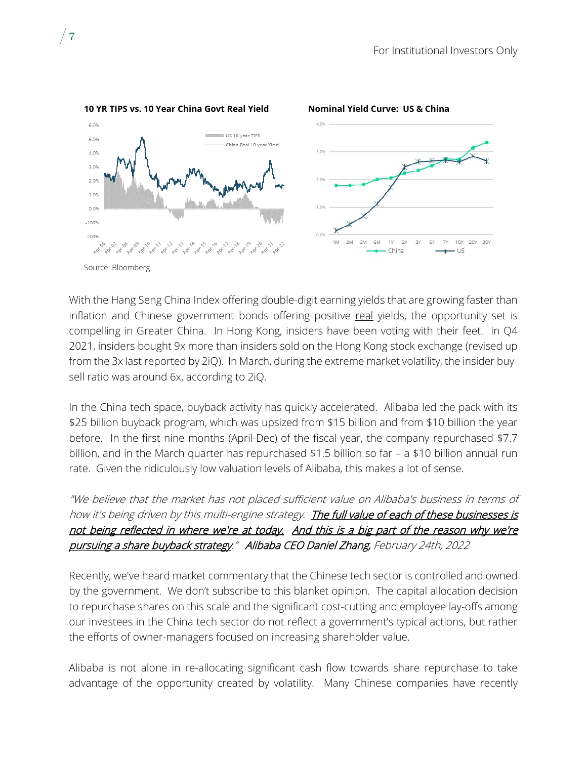

With the Hang Seng China Index offering double-digit earning yields that are growing faster than inflation and Chinese government bonds offering positive real yields, the opportunity set is compelling in Greater China. In Hong Kong, insiders have been voting with their feet. In Q4 2021, insiders bought 9x more than insiders sold on the Hong Kong stock exchange (revised up from the 3x last reported by 2iQ). In March, during the extreme market volatility, the insider buysell ratio was around 6x, according to 2iQ.

In the China tech space, buyback activity has quickly accelerated. Alibaba led the pack with its \$25 billion buyback program, which was upsized from \$15 billion and from \$10 billion the year before. In the first nine months (April-Dec) of the fiscal year, the company repurchased \$7.7 billion, and in the March quarter has repurchased \$1.5 billion so far – a \$10 billion annual run rate. Given the ridiculously low valuation levels of Alibaba, this makes a lot of sense.

"We believe that the market has not placed sufficient value on Alibaba's business in terms of how it's being driven by this multi-engine strategy. The full value of each of these businesses is not being reflected in where we're at today. And this is a big part of the reason why we're pursuing a share buyback strategy." Alibaba CEO Daniel Zhang, February 24th, 2022

Recently, we've heard market commentary that the Chinese tech sector is controlled and owned by the government. We don't subscribe to this blanket opinion. The capital allocation decision to repurchase shares on this scale and the significant cost-cutting and employee lay-offs among our investees in the China tech sector do not reflect a government's typical actions, but rather the efforts of owner-managers focused on increasing shareholder value.

Alibaba is not alone in re-allocating significant cash flow towards share repurchase to take advantage of the opportunity created by volatility. Many Chinese companies have recently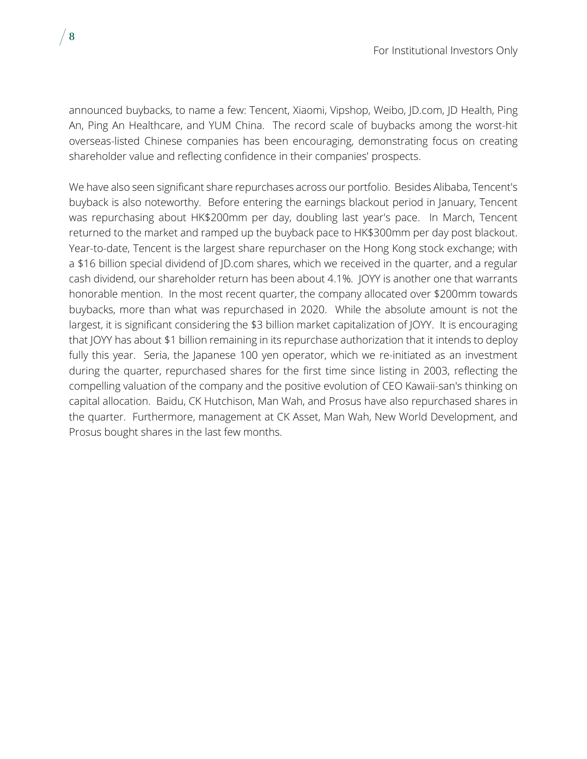announced buybacks, to name a few: Tencent, Xiaomi, Vipshop, Weibo, JD.com, JD Health, Ping An, Ping An Healthcare, and YUM China. The record scale of buybacks among the worst-hit overseas-listed Chinese companies has been encouraging, demonstrating focus on creating shareholder value and reflecting confidence in their companies' prospects.

We have also seen significant share repurchases across our portfolio. Besides Alibaba, Tencent's buyback is also noteworthy. Before entering the earnings blackout period in January, Tencent was repurchasing about HK\$200mm per day, doubling last year's pace. In March, Tencent returned to the market and ramped up the buyback pace to HK\$300mm per day post blackout. Year-to-date, Tencent is the largest share repurchaser on the Hong Kong stock exchange; with a \$16 billion special dividend of JD.com shares, which we received in the quarter, and a regular cash dividend, our shareholder return has been about 4.1%. JOYY is another one that warrants honorable mention. In the most recent quarter, the company allocated over \$200mm towards buybacks, more than what was repurchased in 2020. While the absolute amount is not the largest, it is significant considering the \$3 billion market capitalization of JOYY. It is encouraging that JOYY has about \$1 billion remaining in its repurchase authorization that it intends to deploy fully this year. Seria, the Japanese 100 yen operator, which we re-initiated as an investment during the quarter, repurchased shares for the first time since listing in 2003, reflecting the compelling valuation of the company and the positive evolution of CEO Kawaii-san's thinking on capital allocation. Baidu, CK Hutchison, Man Wah, and Prosus have also repurchased shares in the quarter. Furthermore, management at CK Asset, Man Wah, New World Development, and Prosus bought shares in the last few months.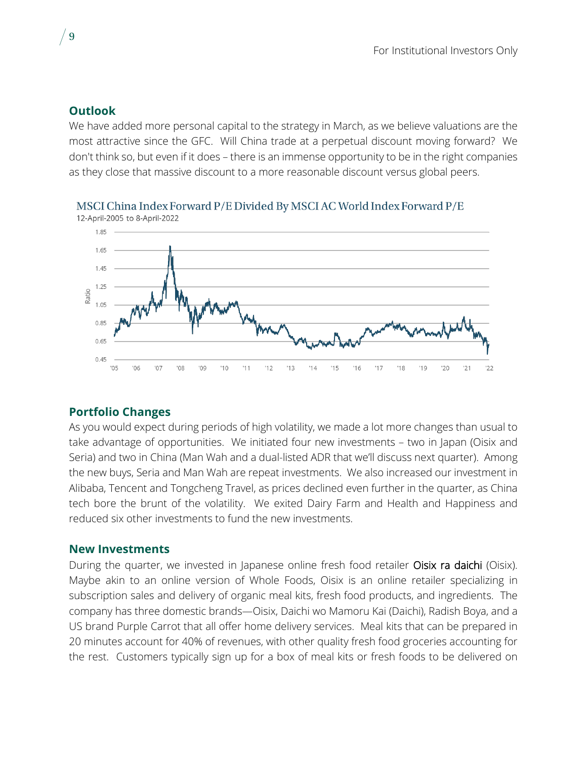#### **Outlook**

We have added more personal capital to the strategy in March, as we believe valuations are the most attractive since the GFC. Will China trade at a perpetual discount moving forward? We don't think so, but even if it does – there is an immense opportunity to be in the right companies as they close that massive discount to a more reasonable discount versus global peers.



# MSCI China Index Forward P/E Divided By MSCI AC World Index Forward P/E

#### **Portfolio Changes**

As you would expect during periods of high volatility, we made a lot more changes than usual to take advantage of opportunities. We initiated four new investments – two in Japan (Oisix and Seria) and two in China (Man Wah and a dual-listed ADR that we'll discuss next quarter). Among the new buys, Seria and Man Wah are repeat investments. We also increased our investment in Alibaba, Tencent and Tongcheng Travel, as prices declined even further in the quarter, as China tech bore the brunt of the volatility. We exited Dairy Farm and Health and Happiness and reduced six other investments to fund the new investments.

#### **New Investments**

During the quarter, we invested in Japanese online fresh food retailer Oisix ra daichi (Oisix). Maybe akin to an online version of Whole Foods, Oisix is an online retailer specializing in subscription sales and delivery of organic meal kits, fresh food products, and ingredients. The company has three domestic brands—Oisix, Daichi wo Mamoru Kai (Daichi), Radish Boya, and a US brand Purple Carrot that all offer home delivery services. Meal kits that can be prepared in 20 minutes account for 40% of revenues, with other quality fresh food groceries accounting for the rest. Customers typically sign up for a box of meal kits or fresh foods to be delivered on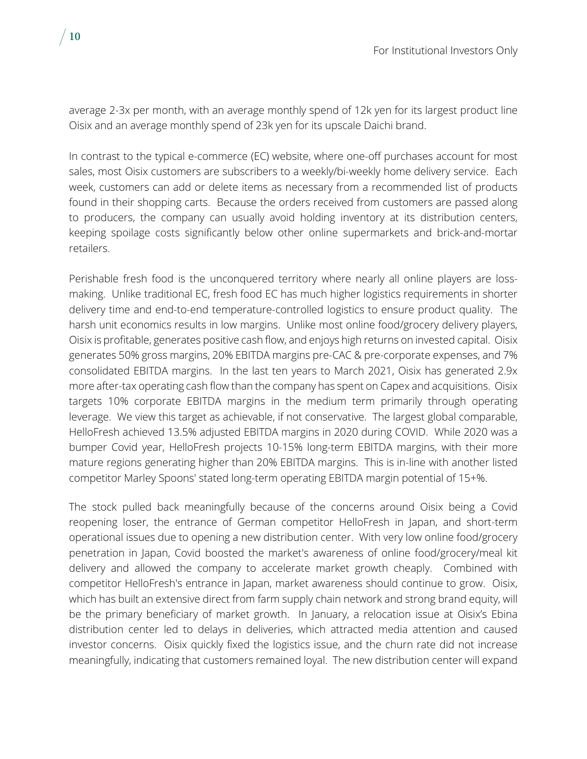average 2-3x per month, with an average monthly spend of 12k yen for its largest product line Oisix and an average monthly spend of 23k yen for its upscale Daichi brand.

In contrast to the typical e-commerce (EC) website, where one-off purchases account for most sales, most Oisix customers are subscribers to a weekly/bi-weekly home delivery service. Each week, customers can add or delete items as necessary from a recommended list of products found in their shopping carts. Because the orders received from customers are passed along to producers, the company can usually avoid holding inventory at its distribution centers, keeping spoilage costs significantly below other online supermarkets and brick-and-mortar retailers.

Perishable fresh food is the unconquered territory where nearly all online players are lossmaking. Unlike traditional EC, fresh food EC has much higher logistics requirements in shorter delivery time and end-to-end temperature-controlled logistics to ensure product quality. The harsh unit economics results in low margins. Unlike most online food/grocery delivery players, Oisix is profitable, generates positive cash flow, and enjoys high returns on invested capital. Oisix generates 50% gross margins, 20% EBITDA margins pre-CAC & pre-corporate expenses, and 7% consolidated EBITDA margins. In the last ten years to March 2021, Oisix has generated 2.9x more after-tax operating cash flow than the company has spent on Capex and acquisitions. Oisix targets 10% corporate EBITDA margins in the medium term primarily through operating leverage. We view this target as achievable, if not conservative. The largest global comparable, HelloFresh achieved 13.5% adjusted EBITDA margins in 2020 during COVID. While 2020 was a bumper Covid year, HelloFresh projects 10-15% long-term EBITDA margins, with their more mature regions generating higher than 20% EBITDA margins. This is in-line with another listed competitor Marley Spoons' stated long-term operating EBITDA margin potential of 15+%.

The stock pulled back meaningfully because of the concerns around Oisix being a Covid reopening loser, the entrance of German competitor HelloFresh in Japan, and short-term operational issues due to opening a new distribution center. With very low online food/grocery penetration in Japan, Covid boosted the market's awareness of online food/grocery/meal kit delivery and allowed the company to accelerate market growth cheaply. Combined with competitor HelloFresh's entrance in Japan, market awareness should continue to grow. Oisix, which has built an extensive direct from farm supply chain network and strong brand equity, will be the primary beneficiary of market growth. In January, a relocation issue at Oisix's Ebina distribution center led to delays in deliveries, which attracted media attention and caused investor concerns. Oisix quickly fixed the logistics issue, and the churn rate did not increase meaningfully, indicating that customers remained loyal. The new distribution center will expand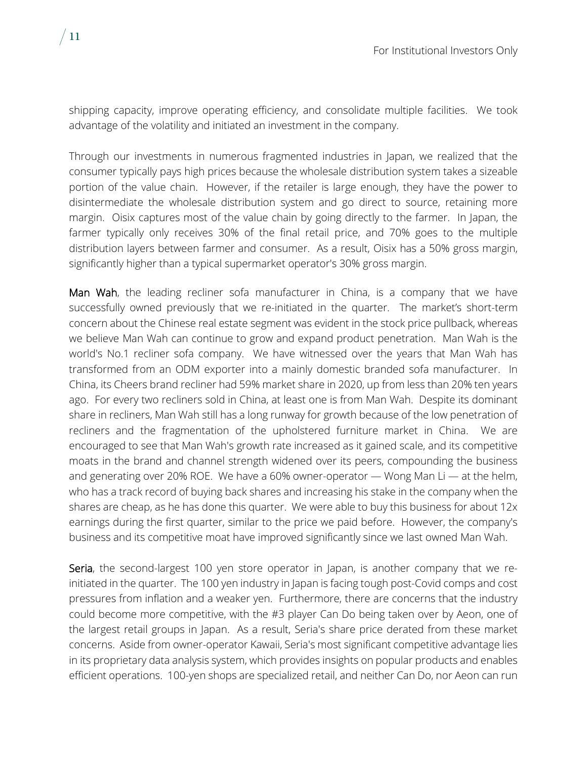shipping capacity, improve operating efficiency, and consolidate multiple facilities. We took advantage of the volatility and initiated an investment in the company.

Through our investments in numerous fragmented industries in Japan, we realized that the consumer typically pays high prices because the wholesale distribution system takes a sizeable portion of the value chain. However, if the retailer is large enough, they have the power to disintermediate the wholesale distribution system and go direct to source, retaining more margin. Oisix captures most of the value chain by going directly to the farmer. In Japan, the farmer typically only receives 30% of the final retail price, and 70% goes to the multiple distribution layers between farmer and consumer. As a result, Oisix has a 50% gross margin, significantly higher than a typical supermarket operator's 30% gross margin.

Man Wah, the leading recliner sofa manufacturer in China, is a company that we have successfully owned previously that we re-initiated in the quarter. The market's short-term concern about the Chinese real estate segment was evident in the stock price pullback, whereas we believe Man Wah can continue to grow and expand product penetration. Man Wah is the world's No.1 recliner sofa company. We have witnessed over the years that Man Wah has transformed from an ODM exporter into a mainly domestic branded sofa manufacturer. In China, its Cheers brand recliner had 59% market share in 2020, up from less than 20% ten years ago. For every two recliners sold in China, at least one is from Man Wah. Despite its dominant share in recliners, Man Wah still has a long runway for growth because of the low penetration of recliners and the fragmentation of the upholstered furniture market in China. We are encouraged to see that Man Wah's growth rate increased as it gained scale, and its competitive moats in the brand and channel strength widened over its peers, compounding the business and generating over 20% ROE. We have a 60% owner-operator — Wong Man Li — at the helm, who has a track record of buying back shares and increasing his stake in the company when the shares are cheap, as he has done this quarter. We were able to buy this business for about 12x earnings during the first quarter, similar to the price we paid before. However, the company's business and its competitive moat have improved significantly since we last owned Man Wah.

Seria, the second-largest 100 yen store operator in Japan, is another company that we reinitiated in the quarter. The 100 yen industry in Japan is facing tough post-Covid comps and cost pressures from inflation and a weaker yen. Furthermore, there are concerns that the industry could become more competitive, with the #3 player Can Do being taken over by Aeon, one of the largest retail groups in Japan. As a result, Seria's share price derated from these market concerns. Aside from owner-operator Kawaii, Seria's most significant competitive advantage lies in its proprietary data analysis system, which provides insights on popular products and enables efficient operations. 100-yen shops are specialized retail, and neither Can Do, nor Aeon can run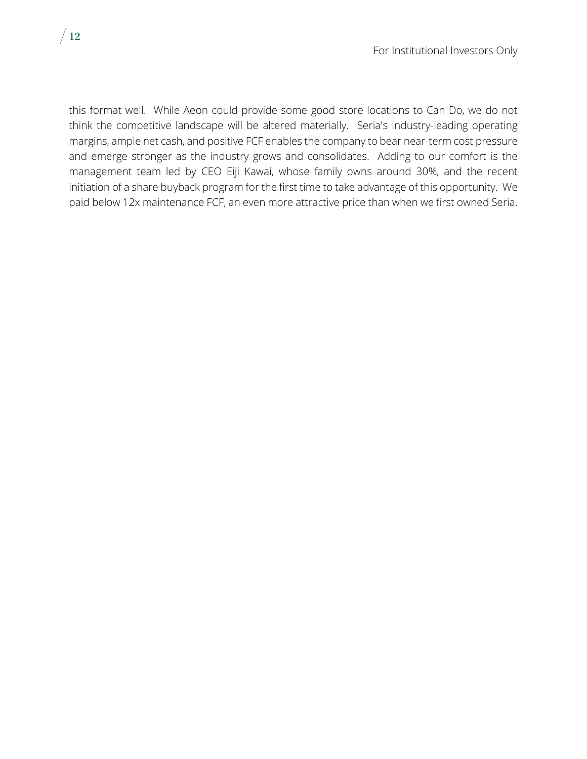this format well. While Aeon could provide some good store locations to Can Do, we do not think the competitive landscape will be altered materially. Seria's industry-leading operating margins, ample net cash, and positive FCF enables the company to bear near-term cost pressure and emerge stronger as the industry grows and consolidates. Adding to our comfort is the management team led by CEO Eiji Kawai, whose family owns around 30%, and the recent initiation of a share buyback program for the first time to take advantage of this opportunity. We paid below 12x maintenance FCF, an even more attractive price than when we first owned Seria.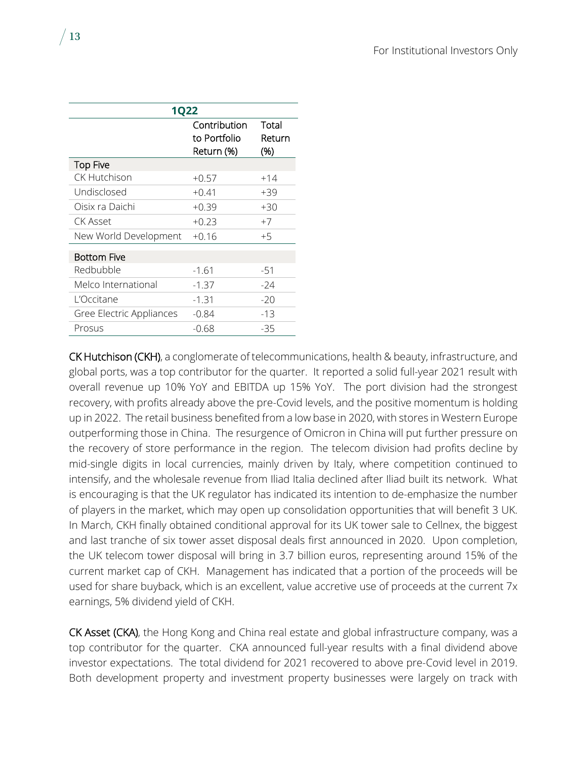| <b>1Q22</b>              |                                            |                        |  |  |  |  |  |
|--------------------------|--------------------------------------------|------------------------|--|--|--|--|--|
|                          | Contribution<br>to Portfolio<br>Return (%) | Total<br>Return<br>(%) |  |  |  |  |  |
| <b>Top Five</b>          |                                            |                        |  |  |  |  |  |
| CK Hutchison             | $+0.57$                                    | $+14$                  |  |  |  |  |  |
| Undisclosed              | $+0.41$                                    | $+39$                  |  |  |  |  |  |
| Oisix ra Daichi          | $+0.39$                                    | $+30$                  |  |  |  |  |  |
| CK Asset                 | $+0.23$                                    | $+7$                   |  |  |  |  |  |
| New World Development    | $+0.16$                                    | $+5$                   |  |  |  |  |  |
| <b>Bottom Five</b>       |                                            |                        |  |  |  |  |  |
| Redbubble                | $-1.61$                                    | $-51$                  |  |  |  |  |  |
| Melco International      | $-1.37$                                    | $-24$                  |  |  |  |  |  |
| L'Occitane               | $-1.31$                                    | $-20$                  |  |  |  |  |  |
| Gree Electric Appliances | $-0.84$                                    | -13                    |  |  |  |  |  |
| Prosus                   | $-0.68$                                    | $-35$                  |  |  |  |  |  |

CK Hutchison (CKH), a conglomerate of telecommunications, health & beauty, infrastructure, and global ports, was a top contributor for the quarter. It reported a solid full-year 2021 result with overall revenue up 10% YoY and EBITDA up 15% YoY. The port division had the strongest recovery, with profits already above the pre-Covid levels, and the positive momentum is holding up in 2022. The retail business benefited from a low base in 2020, with stores in Western Europe outperforming those in China. The resurgence of Omicron in China will put further pressure on the recovery of store performance in the region. The telecom division had profits decline by mid-single digits in local currencies, mainly driven by Italy, where competition continued to intensify, and the wholesale revenue from Iliad Italia declined after Iliad built its network. What is encouraging is that the UK regulator has indicated its intention to de-emphasize the number of players in the market, which may open up consolidation opportunities that will benefit 3 UK. In March, CKH finally obtained conditional approval for its UK tower sale to Cellnex, the biggest and last tranche of six tower asset disposal deals first announced in 2020. Upon completion, the UK telecom tower disposal will bring in 3.7 billion euros, representing around 15% of the current market cap of CKH. Management has indicated that a portion of the proceeds will be used for share buyback, which is an excellent, value accretive use of proceeds at the current 7x earnings, 5% dividend yield of CKH.

CK Asset (CKA), the Hong Kong and China real estate and global infrastructure company, was a top contributor for the quarter. CKA announced full-year results with a final dividend above investor expectations. The total dividend for 2021 recovered to above pre-Covid level in 2019. Both development property and investment property businesses were largely on track with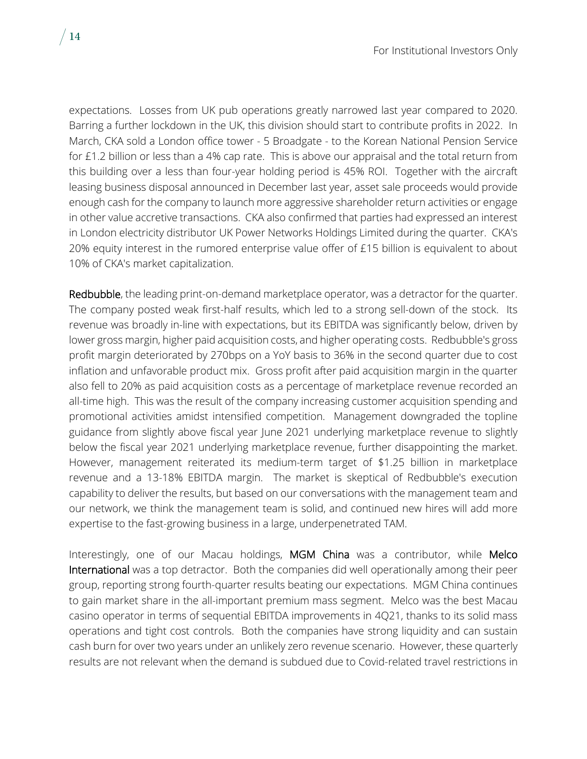expectations. Losses from UK pub operations greatly narrowed last year compared to 2020. Barring a further lockdown in the UK, this division should start to contribute profits in 2022. In March, CKA sold a London office tower - 5 Broadgate - to the Korean National Pension Service for £1.2 billion or less than a 4% cap rate. This is above our appraisal and the total return from this building over a less than four-year holding period is 45% ROI. Together with the aircraft leasing business disposal announced in December last year, asset sale proceeds would provide enough cash for the company to launch more aggressive shareholder return activities or engage in other value accretive transactions. CKA also confirmed that parties had expressed an interest in London electricity distributor UK Power Networks Holdings Limited during the quarter. CKA's 20% equity interest in the rumored enterprise value offer of £15 billion is equivalent to about 10% of CKA's market capitalization.

Redbubble, the leading print-on-demand marketplace operator, was a detractor for the quarter. The company posted weak first-half results, which led to a strong sell-down of the stock. Its revenue was broadly in-line with expectations, but its EBITDA was significantly below, driven by lower gross margin, higher paid acquisition costs, and higher operating costs. Redbubble's gross profit margin deteriorated by 270bps on a YoY basis to 36% in the second quarter due to cost inflation and unfavorable product mix. Gross profit after paid acquisition margin in the quarter also fell to 20% as paid acquisition costs as a percentage of marketplace revenue recorded an all-time high. This was the result of the company increasing customer acquisition spending and promotional activities amidst intensified competition. Management downgraded the topline guidance from slightly above fiscal year June 2021 underlying marketplace revenue to slightly below the fiscal year 2021 underlying marketplace revenue, further disappointing the market. However, management reiterated its medium-term target of \$1.25 billion in marketplace revenue and a 13-18% EBITDA margin. The market is skeptical of Redbubble's execution capability to deliver the results, but based on our conversations with the management team and our network, we think the management team is solid, and continued new hires will add more expertise to the fast-growing business in a large, underpenetrated TAM.

Interestingly, one of our Macau holdings, MGM China was a contributor, while Melco International was a top detractor. Both the companies did well operationally among their peer group, reporting strong fourth-quarter results beating our expectations. MGM China continues to gain market share in the all-important premium mass segment. Melco was the best Macau casino operator in terms of sequential EBITDA improvements in 4Q21, thanks to its solid mass operations and tight cost controls. Both the companies have strong liquidity and can sustain cash burn for over two years under an unlikely zero revenue scenario. However, these quarterly results are not relevant when the demand is subdued due to Covid-related travel restrictions in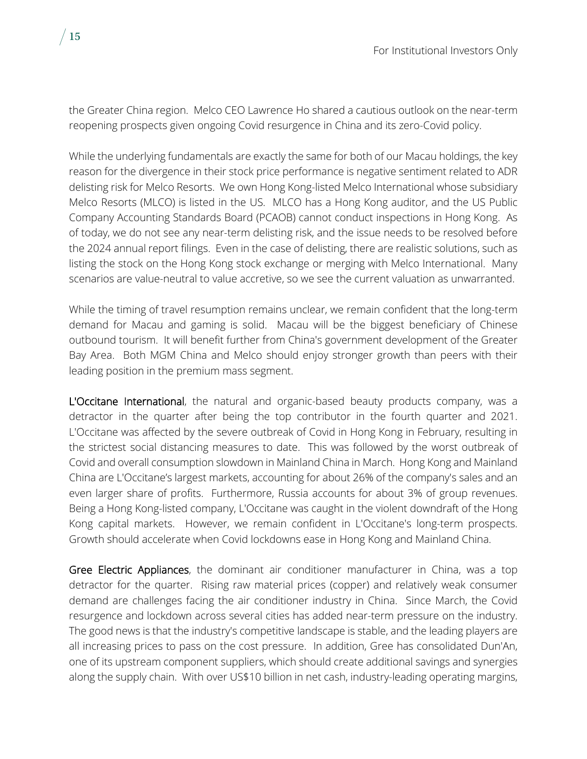the Greater China region. Melco CEO Lawrence Ho shared a cautious outlook on the near-term reopening prospects given ongoing Covid resurgence in China and its zero-Covid policy.

While the underlying fundamentals are exactly the same for both of our Macau holdings, the key reason for the divergence in their stock price performance is negative sentiment related to ADR delisting risk for Melco Resorts. We own Hong Kong-listed Melco International whose subsidiary Melco Resorts (MLCO) is listed in the US. MLCO has a Hong Kong auditor, and the US Public Company Accounting Standards Board (PCAOB) cannot conduct inspections in Hong Kong. As of today, we do not see any near-term delisting risk, and the issue needs to be resolved before the 2024 annual report filings. Even in the case of delisting, there are realistic solutions, such as listing the stock on the Hong Kong stock exchange or merging with Melco International. Many scenarios are value-neutral to value accretive, so we see the current valuation as unwarranted.

While the timing of travel resumption remains unclear, we remain confident that the long-term demand for Macau and gaming is solid. Macau will be the biggest beneficiary of Chinese outbound tourism. It will benefit further from China's government development of the Greater Bay Area. Both MGM China and Melco should enjoy stronger growth than peers with their leading position in the premium mass segment.

L'Occitane International, the natural and organic-based beauty products company, was a detractor in the quarter after being the top contributor in the fourth quarter and 2021. L'Occitane was affected by the severe outbreak of Covid in Hong Kong in February, resulting in the strictest social distancing measures to date. This was followed by the worst outbreak of Covid and overall consumption slowdown in Mainland China in March. Hong Kong and Mainland China are L'Occitane's largest markets, accounting for about 26% of the company's sales and an even larger share of profits. Furthermore, Russia accounts for about 3% of group revenues. Being a Hong Kong-listed company, L'Occitane was caught in the violent downdraft of the Hong Kong capital markets. However, we remain confident in L'Occitane's long-term prospects. Growth should accelerate when Covid lockdowns ease in Hong Kong and Mainland China.

Gree Electric Appliances, the dominant air conditioner manufacturer in China, was a top detractor for the quarter. Rising raw material prices (copper) and relatively weak consumer demand are challenges facing the air conditioner industry in China. Since March, the Covid resurgence and lockdown across several cities has added near-term pressure on the industry. The good news is that the industry's competitive landscape is stable, and the leading players are all increasing prices to pass on the cost pressure. In addition, Gree has consolidated Dun'An, one of its upstream component suppliers, which should create additional savings and synergies along the supply chain. With over US\$10 billion in net cash, industry-leading operating margins,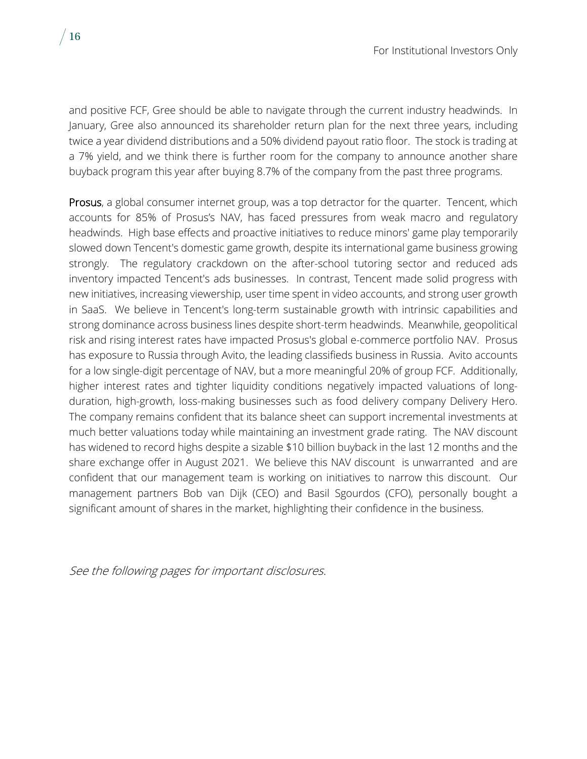and positive FCF, Gree should be able to navigate through the current industry headwinds. In January, Gree also announced its shareholder return plan for the next three years, including twice a year dividend distributions and a 50% dividend payout ratio floor. The stock is trading at a 7% yield, and we think there is further room for the company to announce another share buyback program this year after buying 8.7% of the company from the past three programs.

Prosus, a global consumer internet group, was a top detractor for the quarter. Tencent, which accounts for 85% of Prosus's NAV, has faced pressures from weak macro and regulatory headwinds. High base effects and proactive initiatives to reduce minors' game play temporarily slowed down Tencent's domestic game growth, despite its international game business growing strongly. The regulatory crackdown on the after-school tutoring sector and reduced ads inventory impacted Tencent's ads businesses. In contrast, Tencent made solid progress with new initiatives, increasing viewership, user time spent in video accounts, and strong user growth in SaaS. We believe in Tencent's long-term sustainable growth with intrinsic capabilities and strong dominance across business lines despite short-term headwinds. Meanwhile, geopolitical risk and rising interest rates have impacted Prosus's global e-commerce portfolio NAV. Prosus has exposure to Russia through Avito, the leading classifieds business in Russia. Avito accounts for a low single-digit percentage of NAV, but a more meaningful 20% of group FCF. Additionally, higher interest rates and tighter liquidity conditions negatively impacted valuations of longduration, high-growth, loss-making businesses such as food delivery company Delivery Hero. The company remains confident that its balance sheet can support incremental investments at much better valuations today while maintaining an investment grade rating. The NAV discount has widened to record highs despite a sizable \$10 billion buyback in the last 12 months and the share exchange offer in August 2021. We believe this NAV discount is unwarranted and are confident that our management team is working on initiatives to narrow this discount. Our management partners Bob van Dijk (CEO) and Basil Sgourdos (CFO), personally bought a significant amount of shares in the market, highlighting their confidence in the business.

See the following pages for important disclosures.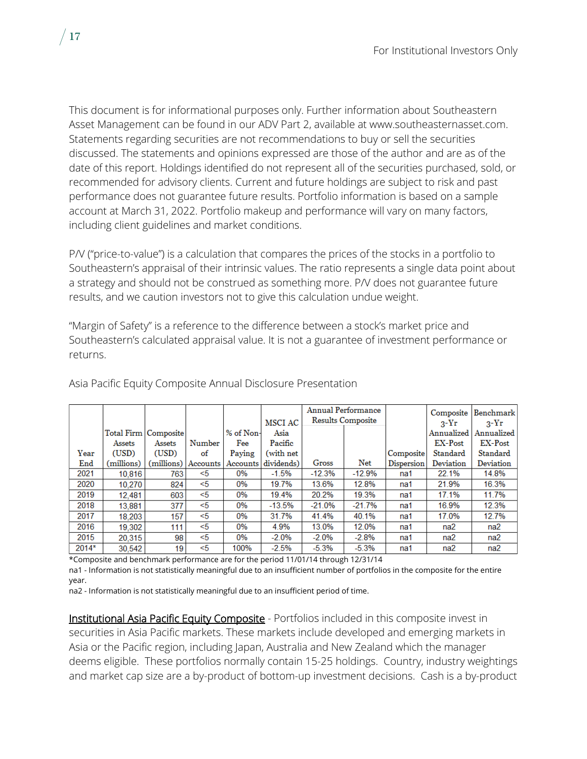This document is for informational purposes only. Further information about Southeastern Asset Management can be found in our ADV Part 2, available at www.southeasternasset.com. Statements regarding securities are not recommendations to buy or sell the securities discussed. The statements and opinions expressed are those of the author and are as of the date of this report. Holdings identified do not represent all of the securities purchased, sold, or recommended for advisory clients. Current and future holdings are subject to risk and past performance does not guarantee future results. Portfolio information is based on a sample account at March 31, 2022. Portfolio makeup and performance will vary on many factors, including client guidelines and market conditions.

P/V ("price-to-value") is a calculation that compares the prices of the stocks in a portfolio to Southeastern's appraisal of their intrinsic values. The ratio represents a single data point about a strategy and should not be construed as something more. P/V does not guarantee future results, and we caution investors not to give this calculation undue weight.

"Margin of Safety" is a reference to the difference between a stock's market price and Southeastern's calculated appraisal value. It is not a guarantee of investment performance or returns.

|       |                        |        |                       |           | MSCI AC    | <b>Annual Performance</b><br><b>Results Composite</b> |          |                   | <b>Composite</b><br>$3-Yr$ | Benchmark<br>$2-Yr$ |
|-------|------------------------|--------|-----------------------|-----------|------------|-------------------------------------------------------|----------|-------------------|----------------------------|---------------------|
|       | Total Firm   Composite |        |                       | % of Non- | Asia       |                                                       |          |                   | Annualized                 | Annualized          |
|       | Assets                 | Assets | Number                | Fee       | Pacific    |                                                       |          |                   | <b>EX-Post</b>             | <b>EX-Post</b>      |
| Year  | (USD)                  | (USD)  | of                    | Paying    | (with net  |                                                       |          | Composite         | Standard                   | Standard            |
| End   | (millions)             |        | (millions)   Accounts | Accounts  | dividends) | Gross                                                 | Net      | <b>Dispersion</b> | Deviation                  | Deviation           |
| 2021  | 10.816                 | 763    | <5                    | 0%        | $-1.5%$    | $-12.3%$                                              | $-12.9%$ | na1               | 22.1%                      | 14.8%               |
| 2020  | 10.270                 | 824    | $<$ 5                 | 0%        | 19.7%      | 13.6%                                                 | 12.8%    | na1               | 21.9%                      | 16.3%               |
| 2019  | 12.481                 | 603    | < 5                   | 0%        | 19.4%      | 20.2%                                                 | 19.3%    | na1               | 17.1%                      | 11.7%               |
| 2018  | 13,881                 | 377    | $<$ 5                 | 0%        | $-13.5%$   | $-21.0%$                                              | $-21.7%$ | na1               | 16.9%                      | 12.3%               |
| 2017  | 18.203                 | 157    | <5                    | 0%        | 31.7%      | 41.4%                                                 | 40.1%    | na1               | 17.0%                      | 12.7%               |
| 2016  | 19,302                 | 111    | $<$ 5                 | 0%        | 4.9%       | 13.0%                                                 | 12.0%    | na1               | na2                        | na2                 |
| 2015  | 20,315                 | 98     | <5                    | 0%        | $-2.0\%$   | $-2.0%$                                               | $-2.8%$  | na1               | na <sub>2</sub>            | na2                 |
| 2014* | 30.542                 | 19     | <5                    | 100%      | $-2.5%$    | $-5.3%$                                               | $-5.3%$  | na1               | na2                        | na <sub>2</sub>     |

Asia Pacific Equity Composite Annual Disclosure Presentation

\*Composite and benchmark performance are for the period 11/01/14 through 12/31/14

na1 - Information is not statistically meaningful due to an insufficient number of portfolios in the composite for the entire year.

na2 - Information is not statistically meaningful due to an insufficient period of time.

Institutional Asia Pacific Equity Composite - Portfolios included in this composite invest in securities in Asia Pacific markets. These markets include developed and emerging markets in Asia or the Pacific region, including Japan, Australia and New Zealand which the manager deems eligible. These portfolios normally contain 15-25 holdings. Country, industry weightings and market cap size are a by-product of bottom-up investment decisions. Cash is a by-product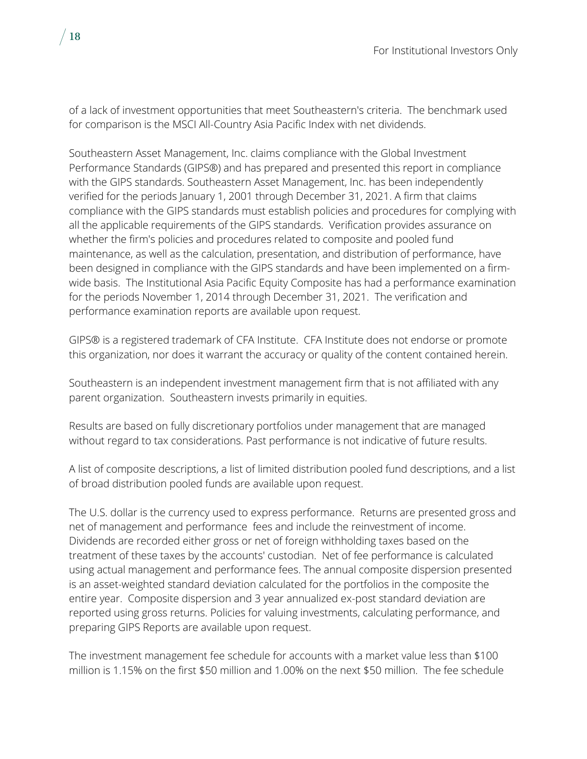of a lack of investment opportunities that meet Southeastern's criteria. The benchmark used for comparison is the MSCI All-Country Asia Pacific Index with net dividends.

Southeastern Asset Management, Inc. claims compliance with the Global Investment Performance Standards (GIPS®) and has prepared and presented this report in compliance with the GIPS standards. Southeastern Asset Management, Inc. has been independently verified for the periods January 1, 2001 through December 31, 2021. A firm that claims compliance with the GIPS standards must establish policies and procedures for complying with all the applicable requirements of the GIPS standards. Verification provides assurance on whether the firm's policies and procedures related to composite and pooled fund maintenance, as well as the calculation, presentation, and distribution of performance, have been designed in compliance with the GIPS standards and have been implemented on a firmwide basis. The Institutional Asia Pacific Equity Composite has had a performance examination for the periods November 1, 2014 through December 31, 2021. The verification and performance examination reports are available upon request.

GIPS® is a registered trademark of CFA Institute. CFA Institute does not endorse or promote this organization, nor does it warrant the accuracy or quality of the content contained herein.

Southeastern is an independent investment management firm that is not affiliated with any parent organization. Southeastern invests primarily in equities.

Results are based on fully discretionary portfolios under management that are managed without regard to tax considerations. Past performance is not indicative of future results.

A list of composite descriptions, a list of limited distribution pooled fund descriptions, and a list of broad distribution pooled funds are available upon request.

The U.S. dollar is the currency used to express performance. Returns are presented gross and net of management and performance fees and include the reinvestment of income. Dividends are recorded either gross or net of foreign withholding taxes based on the treatment of these taxes by the accounts' custodian. Net of fee performance is calculated using actual management and performance fees. The annual composite dispersion presented is an asset-weighted standard deviation calculated for the portfolios in the composite the entire year. Composite dispersion and 3 year annualized ex-post standard deviation are reported using gross returns. Policies for valuing investments, calculating performance, and preparing GIPS Reports are available upon request.

The investment management fee schedule for accounts with a market value less than \$100 million is 1.15% on the first \$50 million and 1.00% on the next \$50 million. The fee schedule